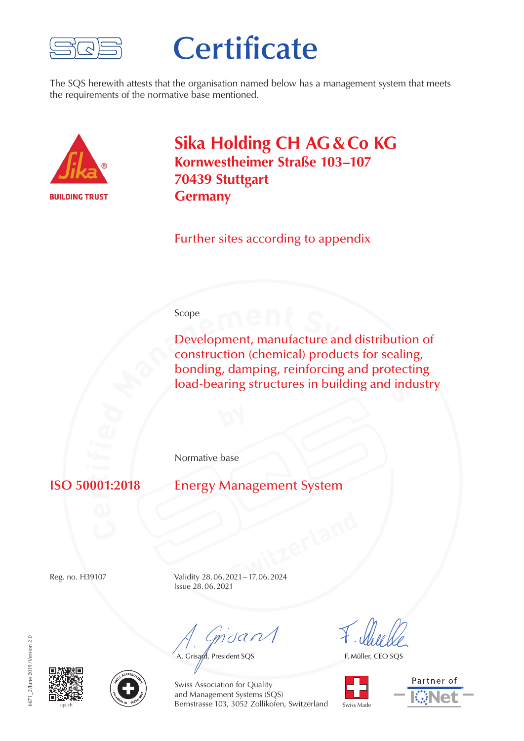

## **Certificate**

The SQS herewith attests that the organisation named below has a management system that meets the requirements of the normative base mentioned.



**Sika Holding CH AG & Co KG Kornwestheimer Straße 103–107 70439 Stuttgart Germany**

Further sites according to appendix

## Scope

**Example 19 Execution (Several) products for sealing bonding, damping, reinforcing and protect load-bearing structures in building and ind** Development, manufacture and distribution of construction (chemical) products for sealing, bonding, damping, reinforcing and protecting load-bearing structures in building and industry

Normative base

**r** $\overline{M}$ 

**Energy Management System** 

**SWITZER 1999** Reg. no. H39107 Validity 28. 06. 2021 – 17. 06. 2024 Issue 28. 06. 2021

muant

A. Grisard, President SQS

F. Müller, CEO SQS









Swiss Association for Quality and Management Systems (SQS) Bernstrasse 103, 3052 Zollikofen, Switzerland